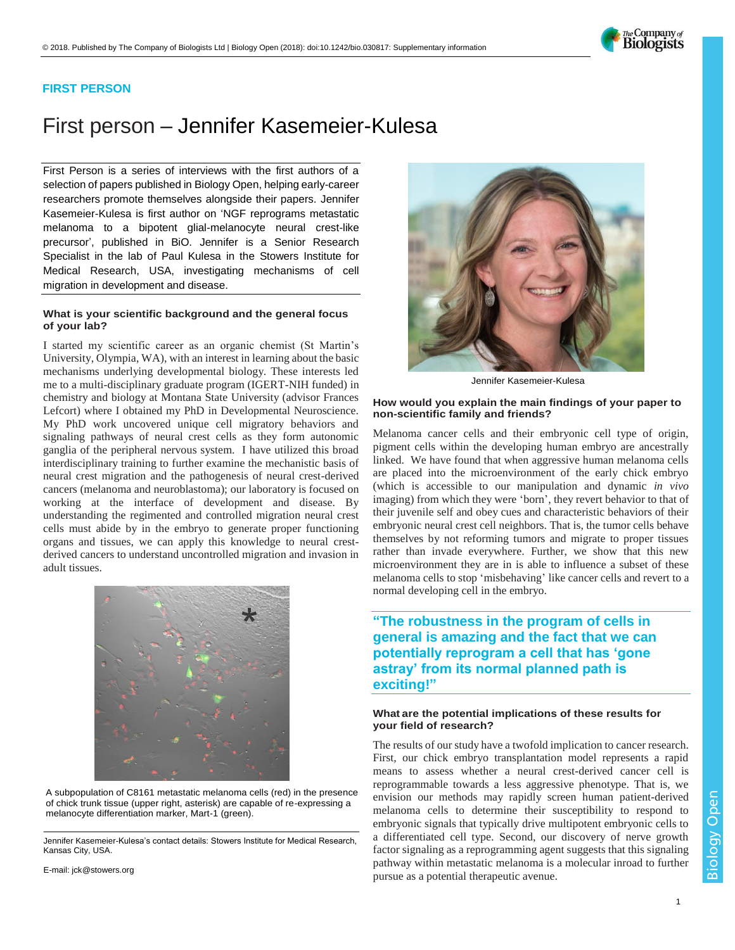

### **FIRST PERSON**

# First person – Jennifer Kasemeier-Kulesa

First Person is a series of interviews with the first authors of a selection of papers published in Biology Open, helping early-career researchers promote themselves alongside their papers. Jennifer Kasemeier-Kulesa is first author on ['NGF reprograms metastatic](https://doi.org/10.1242/bio.030817)  [melanoma to a bipotent glial-melanocyte neural crest-like](https://doi.org/10.1242/bio.030817)  [precursor'](https://doi.org/10.1242/bio.030817), published in BiO. Jennifer is a Senior Research Specialist in the lab of Paul Kulesa in the Stowers Institute for Medical Research, USA, investigating mechanisms of cell migration in development and disease.

#### **What is your scientific background and the general focus of your lab?**

I started my scientific career as an organic chemist (St Martin's University, Olympia, WA), with an interest in learning about the basic mechanisms underlying developmental biology. These interests led me to a multi-disciplinary graduate program (IGERT-NIH funded) in chemistry and biology at Montana State University (advisor Frances Lefcort) where I obtained my PhD in Developmental Neuroscience. My PhD work uncovered unique cell migratory behaviors and signaling pathways of neural crest cells as they form autonomic ganglia of the peripheral nervous system. I have utilized this broad interdisciplinary training to further examine the mechanistic basis of neural crest migration and the pathogenesis of neural crest-derived cancers (melanoma and neuroblastoma); our laboratory is focused on working at the interface of development and disease. By understanding the regimented and controlled migration neural crest cells must abide by in the embryo to generate proper functioning organs and tissues, we can apply this knowledge to neural crestderived cancers to understand uncontrolled migration and invasion in adult tissues.



A subpopulation of C8161 metastatic melanoma cells (red) in the presence of chick trunk tissue (upper right, asterisk) are capable of re-expressing a melanocyte differentiation marker, Mart-1 (green).

Jennifer Kasemeier-Kulesa's contact details: Stowers Institute for Medical Research, Kansas City, USA.

E-mail: [jck@stowers.org](mailto:jck@stowers.org)



Jennifer Kasemeier-Kulesa

#### **How would you explain the main findings of your paper to non-scientific family and friends?**

Melanoma cancer cells and their embryonic cell type of origin, pigment cells within the developing human embryo are ancestrally linked. We have found that when aggressive human melanoma cells are placed into the microenvironment of the early chick embryo (which is accessible to our manipulation and dynamic *in vivo* imaging) from which they were 'born', they revert behavior to that of their juvenile self and obey cues and characteristic behaviors of their embryonic neural crest cell neighbors. That is, the tumor cells behave themselves by not reforming tumors and migrate to proper tissues rather than invade everywhere. Further, we show that this new microenvironment they are in is able to influence a subset of these melanoma cells to stop 'misbehaving' like cancer cells and revert to a normal developing cell in the embryo.

## **"The robustness in the program of cells in general is amazing and the fact that we can potentially reprogram a cell that has 'gone astray' from its normal planned path is exciting!"**

#### **What are the potential implications of these results for your field of research?**

The results of our study have a twofold implication to cancer research. First, our chick embryo transplantation model represents a rapid means to assess whether a neural crest-derived cancer cell is reprogrammable towards a less aggressive phenotype. That is, we envision our methods may rapidly screen human patient-derived melanoma cells to determine their susceptibility to respond to embryonic signals that typically drive multipotent embryonic cells to a differentiated cell type. Second, our discovery of nerve growth factor signaling as a reprogramming agent suggests that this signaling pathway within metastatic melanoma is a molecular inroad to further pursue as a potential therapeutic avenue.